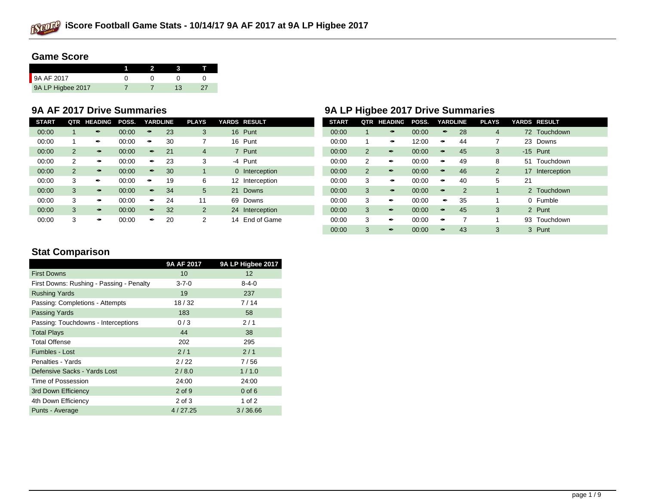

# **Game Score**

| 9A AF 2017        |  |  |
|-------------------|--|--|
| 9A LP Higbee 2017 |  |  |

| <b>START</b> | QTR            | <b>HEADING</b> | POSS. | <b>YARDLINE</b> |    | <b>PLAYS</b>   | YARDS RESULT       | <b>START</b> | QTR            | <b>HEADING</b> | POSS. | <b>YARDLINE</b> |                | <b>PLAYS</b> |    | YARDS RESULT    |
|--------------|----------------|----------------|-------|-----------------|----|----------------|--------------------|--------------|----------------|----------------|-------|-----------------|----------------|--------------|----|-----------------|
| 00:00        |                |                | 00:00 |                 | 23 | 3              | 16 Punt            | 00:00        |                |                | 00:00 |                 | 28             | 4            | 72 | Touchdown       |
| 00:00        |                |                | 00:00 |                 | 30 |                | Punt<br>16         | 00:00        |                |                | 12:00 |                 | 44             |              |    | 23 Downs        |
| 00:00        | $\overline{2}$ |                | 00:00 |                 | 21 | $\overline{4}$ | Punt               | 00:00        | $\overline{2}$ |                | 00:00 |                 | 45             | 3            |    | $-15$ Punt      |
| 00:00        | 2              |                | 00:00 |                 | 23 | 3              | -4 Punt            | 00:00        | 2              |                | 00:00 |                 | 49             | 8            | 51 | Touchdown       |
| 00:00        | $\overline{2}$ |                | 00:00 |                 | 30 |                | 0 Interception     | 00:00        | 2              |                | 00:00 |                 | 46             | 2            |    | 17 Interception |
| 00:00        | 3              |                | 00:00 |                 | 19 | 6              | 12 Interception    | 00:00        | 3              |                | 00:00 |                 | 40             | 5            | 21 |                 |
| 00:00        | 3              |                | 00:00 |                 | 34 | 5              | 21<br><b>Downs</b> | 00:00        | 3              |                | 00:00 |                 | $\overline{2}$ |              |    | 2 Touchdown     |
| 00:00        | 3              |                | 00:00 |                 | 24 | 11             | 69 Downs           | 00:00        | 3              |                | 00:00 |                 | 35             |              |    | 0 Fumble        |
| 00:00        | 3              |                | 00:00 |                 | 32 | 2              | 24 Interception    | 00:00        | 3              |                | 00:00 |                 | 45             | 3            |    | 2 Punt          |
| 00:00        | 3              |                | 00:00 |                 | 20 | 2              | End of Game<br>14  | 00:00        | 3              |                | 00:00 |                 |                |              | 93 | Touchdown       |

# **9A AF 2017 Drive Summaries 9A LP Higbee 2017 Drive Summaries**

| <b>START</b> | QTR            | <b>HEADING</b>          | POSS. | <b>YARDLINE</b>             |                | <b>PLAYS</b>   |    | <b>YARDS RESULT</b> |
|--------------|----------------|-------------------------|-------|-----------------------------|----------------|----------------|----|---------------------|
| 00:00        | 1              |                         | 00:00 | $\overline{\mathbf{r}}$     | 28             | $\overline{4}$ |    | 72 Touchdown        |
| 00:00        | 1              | $\mathcal{L}$           | 12:00 | $\tilde{\mathcal{F}}$       | 44             | 7              | 23 | Downs               |
| 00:00        | $\overline{2}$ | $\overline{\mathbf{r}}$ | 00:00 |                             | 45             | 3              |    | $-15$ Punt          |
| 00:00        | $\overline{2}$ | Î                       | 00:00 | $\tilde{\mathcal{F}}$       | 49             | 8              | 51 | Touchdown           |
| 00:00        | $\overline{2}$ | f                       | 00:00 | محمد                        | 46             | $\overline{2}$ | 17 | Interception        |
| 00:00        | 3              | $\tilde{\phantom{a}}$   | 00:00 | محمد                        | 40             | 5              | 21 |                     |
| 00:00        | 3              |                         | 00:00 | حميمي                       | $\overline{2}$ | 1              |    | 2 Touchdown         |
| 00:00        | 3              | Î                       | 00:00 | Î                           | 35             | 1              | 0  | Fumble              |
| 00:00        | 3              | Í                       | 00:00 | $\mathcal{L}_{\mathcal{A}}$ | 45             | 3              |    | 2 Punt              |
| 00:00        | 3              | Î                       | 00:00 | محم                         | 7              | 1              | 93 | Touchdown           |
| 00:00        | 3              | $\boldsymbol{r}$        | 00:00 |                             | 43             | 3              |    | 3 Punt              |

# **Stat Comparison**

|                                          | 9A AF 2017  | 9A LP Higbee 2017 |
|------------------------------------------|-------------|-------------------|
| <b>First Downs</b>                       | 10          | $12 \overline{ }$ |
| First Downs: Rushing - Passing - Penalty | $3 - 7 - 0$ | $8 - 4 - 0$       |
| <b>Rushing Yards</b>                     | 19          | 237               |
| Passing: Completions - Attempts          | 18/32       | 7/14              |
| <b>Passing Yards</b>                     | 183         | 58                |
| Passing: Touchdowns - Interceptions      | 0/3         | 2/1               |
| <b>Total Plays</b>                       | 44          | 38                |
| <b>Total Offense</b>                     | 202         | 295               |
| Fumbles - Lost                           | 2/1         | 2/1               |
| Penalties - Yards                        | 2/22        | 7/56              |
| Defensive Sacks - Yards Lost             | 2/8.0       | 1/1.0             |
| Time of Possession                       | 24:00       | 24:00             |
| 3rd Down Efficiency                      | $2$ of $9$  | $0$ of $6$        |
| 4th Down Efficiency                      | 2 of 3      | 1 of $2$          |
| Punts - Average                          | 4/27.25     | 3/36.66           |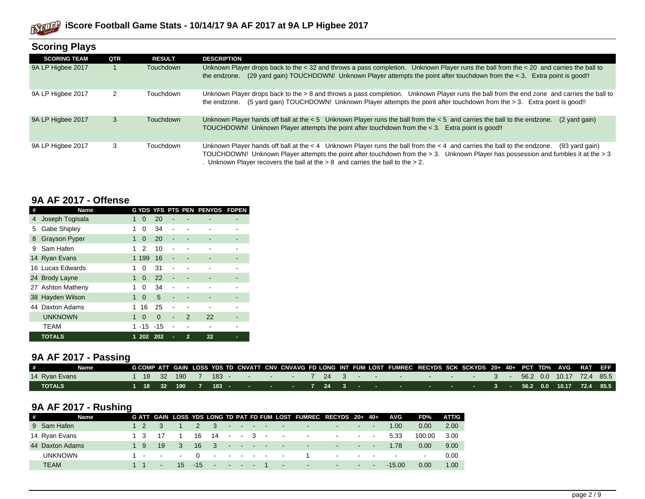

| <b>Scoring Plays</b> |     |                  |                                                                                                                                                                                                                                                                                                                                                                            |
|----------------------|-----|------------------|----------------------------------------------------------------------------------------------------------------------------------------------------------------------------------------------------------------------------------------------------------------------------------------------------------------------------------------------------------------------------|
| <b>SCORING TEAM</b>  | QTR | <b>RESULT</b>    | <b>DESCRIPTION</b>                                                                                                                                                                                                                                                                                                                                                         |
| 9A LP Higbee 2017    |     | <b>Touchdown</b> | Unknown Player drops back to the < 32 and throws a pass completion. Unknown Player runs the ball from the < 20 and carries the ball to<br>(29 yard gain) TOUCHDOWN! Unknown Player attempts the point after touchdown from the < 3. Extra point is good!!<br>the endzone.                                                                                                  |
| 9A LP Higbee 2017    | 2   | Touchdown        | Unknown Player drops back to the > 8 and throws a pass completion. Unknown Player runs the ball from the end zone and carries the ball to<br>(5 yard gain) TOUCHDOWN! Unknown Player attempts the point after touchdown from the > 3. Extra point is good!!<br>the endzone.                                                                                                |
| 9A LP Higbee 2017    | 3   | <b>Touchdown</b> | Unknown Player hands off ball at the $< 5$ Unknown Player runs the ball from the $< 5$ and carries the ball to the endzone.<br>(2 yard gain)<br>TOUCHDOWN! Unknown Player attempts the point after touchdown from the < 3. Extra point is good!!                                                                                                                           |
| 9A LP Higbee 2017    | 3   | Touchdown        | Unknown Player hands off ball at the $< 4$ Unknown Player runs the ball from the $< 4$ and carries the ball to the endzone.<br>(93 yard gain)<br>TOUCHDOWN! Unknown Player attempts the point after touchdown from the > 3. Unknown Player has possession and fumbles it at the > 3<br>. Unknown Player recovers the ball at the $> 8$ and carries the ball to the $> 2$ . |

#### **9A AF 2017 - Offense**

| #  | Name                 |   |          |          |   |                | G YDS YFS PTS PEN PENYDS | <b>FDPEN</b> |
|----|----------------------|---|----------|----------|---|----------------|--------------------------|--------------|
| 4  | Joseph Togisala      | 1 | 0        | 20       |   |                |                          |              |
| 5  | Gabe Shipley         | 1 | 0        | 34       |   |                |                          |              |
| 8  | <b>Grayson Pyper</b> | 1 | 0        | 20       | ٠ |                |                          |              |
| 9  | Sam Hafen            | 1 | 2        | 10       |   |                |                          |              |
|    | 14 Ryan Evans        |   | 1 199    | 16       |   |                |                          |              |
|    | 16 Lucas Edwards     | 1 | O        | 31       |   |                |                          |              |
|    | 24 Brody Layne       | 1 | $\Omega$ | 22       |   |                |                          |              |
|    | 27 Ashton Matheny    | 1 | 0        | 34       |   |                |                          |              |
|    | 38 Hayden Wilson     | 1 | $\Omega$ | 5        |   |                |                          |              |
| 44 | Daxton Adams         | 1 | 16       | 25       |   |                |                          |              |
|    | <b>UNKNOWN</b>       | 1 | $\Omega$ | $\Omega$ | - | $\mathcal{P}$  | 22                       |              |
|    | <b>TEAM</b>          |   | $-15$    | $-15$    |   |                |                          |              |
|    | <b>TOTALS</b>        | 1 | 202      | - 202    | ٠ | $\overline{2}$ | 22                       |              |

# **9A AF 2017 - Passing**

| #             | <b>Name</b> |  |  |  |  |  |  |  | GCOMPATT GAIN LOSS YDS TD CNVATT CNV CNVAVG FD LONG INT FUM LOST FUMREC RECYDS SCK SCKYDS 20+ 40+ PCT TD% AVG RAT EFF . |  |  |  |  |  |
|---------------|-------------|--|--|--|--|--|--|--|-------------------------------------------------------------------------------------------------------------------------|--|--|--|--|--|
| 14 Ryan Evans |             |  |  |  |  |  |  |  |                                                                                                                         |  |  |  |  |  |
| <b>TOTALS</b> |             |  |  |  |  |  |  |  | <sup>1</sup> 1 18 32 190 7 183 - - - - - 7 24 3 - - - - - - - - - - 3 - 56.2 0.0 10.17 72.4 85.5                        |  |  |  |  |  |

# **9A AF 2017 - Rushing**

| # | Name            |     |             |                         |  |  |  | G ATT GAIN LOSS YDS LONG TD PAT FD FUM LOST FUMREC RECYDS 20+ 40+ |                                   |  | AVG      | FD%    | ATT/G |
|---|-----------------|-----|-------------|-------------------------|--|--|--|-------------------------------------------------------------------|-----------------------------------|--|----------|--------|-------|
|   | 9 Sam Hafen     |     |             |                         |  |  |  | $2 \quad 3 \quad \cdots \quad \cdots$                             | the company's programs and        |  | 1.00     | 0.00   | 2.00  |
|   | 14 Ryan Evans   |     | - 17        |                         |  |  |  | $16$ $14$ - 3 - - - - - - -                                       |                                   |  | 5.33     | 100.00 | 3.00  |
|   | 44 Daxton Adams | 1 9 | $\sqrt{19}$ | $\overline{\mathbf{3}}$ |  |  |  | $16 \quad 3 \quad \cdots \quad \cdots$                            | the control of the control of the |  | 1.78     | 0.00   | 9.00  |
|   | <b>UNKNOWN</b>  |     |             |                         |  |  |  | 1 - - - 0 - - - - - - - 1 - - - - - -                             |                                   |  |          | $\sim$ | 0.00  |
|   | <b>TEAM</b>     |     |             |                         |  |  |  | 1 1 $-$ 15 -15 $ -$ 1 $ -$                                        | the control of the control of     |  | $-15.00$ | 0.00   | 1.00  |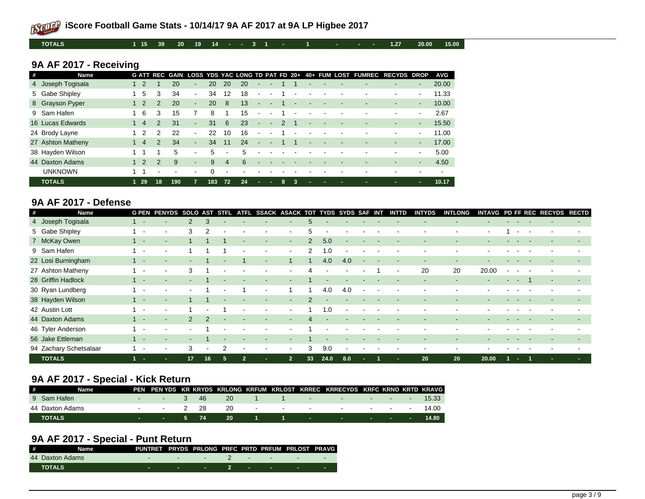**TOTALS 1 15 39 20 19 14 - - 3 1 - 1 - - - 1.27 20.00 15.00**

# **9A AF 2017 - Receiving**

| # | <b>Name</b>       |                |               |     |                |          |                          |    |                          |                          |               |    |                |  | G ATT REC GAIN LOSS YDS YAC LONG TD PAT FD 20+ 40+ FUM LOST FUMREC RECYDS DROP |                          |          | <b>AVG</b> |
|---|-------------------|----------------|---------------|-----|----------------|----------|--------------------------|----|--------------------------|--------------------------|---------------|----|----------------|--|--------------------------------------------------------------------------------|--------------------------|----------|------------|
|   | 4 Joseph Togisala |                |               | 20  | ۰.             | 20       | 20                       | 20 | ٠                        |                          |               |    | ۰              |  |                                                                                | $\overline{\phantom{a}}$ | $\sim$   | 20.00      |
|   | 5 Gabe Shipley    | 5              | 3             | 34  | $\sim$         | 34       | 12                       | 18 | $\blacksquare$           | ۰                        |               | ÷  |                |  |                                                                                |                          | $\sim$   | 11.33      |
|   | 8 Grayson Pyper   |                | $\mathcal{P}$ | 20  | $\sim$         | 20       | 8                        | 13 | $\overline{\phantom{a}}$ | $\overline{\phantom{a}}$ |               | ٠  |                |  |                                                                                | $\overline{\phantom{a}}$ | $\sim$   | 10.00      |
|   | 9 Sam Hafen       | -6             | 3             | 15  |                | 8        |                          | 15 | $\blacksquare$           |                          |               |    |                |  |                                                                                | $\blacksquare$           | $\sim$   | 2.67       |
|   | 16 Lucas Edwards  | $\overline{4}$ | 2             | 31  | $\sim$         | 31       | 6                        | 23 | $\sim$                   | -                        | $\mathcal{P}$ |    | -              |  |                                                                                | $\overline{\phantom{a}}$ | $\sim$   | 15.50      |
|   | 24 Brody Layne    |                | 2             | 22  | $\blacksquare$ | 22       | 10                       | 16 | $\blacksquare$           | $\overline{\phantom{a}}$ |               |    |                |  | ۰                                                                              | $\blacksquare$           | $\sim$   | 11.00      |
|   | 27 Ashton Matheny | $\overline{4}$ | $\mathcal{P}$ | 34  | $\sim$         | 34       | 11                       | 24 | $\overline{\phantom{a}}$ |                          |               |    | $\blacksquare$ |  |                                                                                | $\overline{\phantom{a}}$ | $\sim$   | 17.00      |
|   | 38 Hayden Wilson  |                |               | 5   | $\sim$         | 5        | $\overline{\phantom{a}}$ | 5  | ۰                        |                          |               |    |                |  |                                                                                | $\overline{\phantom{0}}$ | $\sim$   | 5.00       |
|   | 44 Daxton Adams   |                |               | 9   | ۰.             | 9        | 4                        | 6  | $\overline{\phantom{a}}$ |                          |               |    |                |  |                                                                                | $\overline{\phantom{a}}$ | $\sim$ . | 4.50       |
|   | <b>UNKNOWN</b>    |                |               |     | $\blacksquare$ | $\Omega$ |                          |    |                          |                          |               |    |                |  |                                                                                |                          |          |            |
|   | <b>TOTALS</b>     | $129$          | 18            | 190 | 7              | 183      | 72                       | 24 | ×.                       | ×                        | 8             | -3 | ٠              |  | -                                                                              |                          |          | 10.17      |

# **9A AF 2017 - Defense**

| # | Name                   | <b>G PEN PENYDS SOLO AST</b>       |                          |               | <b>STFL</b>    | <b>ATFL</b>    | SSACK ASACK TOT TYDS SYDS SAF INT |                |                |      |        |                          | <b>INTTD</b>             | <b>INTYDS</b> | <b>INTLONG</b> |                |    | INTAVG PD FF REC RECYDS RECTD |                          |
|---|------------------------|------------------------------------|--------------------------|---------------|----------------|----------------|-----------------------------------|----------------|----------------|------|--------|--------------------------|--------------------------|---------------|----------------|----------------|----|-------------------------------|--------------------------|
|   | 4 Joseph Togisala      |                                    | $\mathcal{P}$            | 3             |                |                |                                   |                | 5              |      |        |                          |                          |               |                |                |    |                               |                          |
|   | 5 Gabe Shipley         | $\,$                               | 3                        | 2             |                |                |                                   |                | 5              |      |        |                          |                          |               |                |                |    |                               |                          |
|   | 7 McKay Owen           | $\sim$<br>$\overline{\phantom{a}}$ |                          |               |                | $\sim$         | $\sim$                            | $\sim$         | $\overline{2}$ | 5.0  | $\sim$ |                          |                          |               | ۰              |                |    |                               | $\overline{\phantom{a}}$ |
|   | 9 Sam Hafen            |                                    |                          |               |                |                | $\overline{\phantom{a}}$          | $\sim$         | 2              | 1.0  | $\sim$ |                          |                          |               |                |                |    |                               |                          |
|   | 22 Losi Burningham     |                                    |                          |               |                |                |                                   |                |                | 4.0  | 4.0    |                          |                          |               |                |                |    |                               |                          |
|   | 27 Ashton Matheny      | $\,$                               | 3                        |               |                |                |                                   | $\sim$         | Δ              |      |        |                          | $\overline{\phantom{a}}$ | 20            | 20             | 20.00          |    |                               |                          |
|   | 28 Griffin Hadlock     |                                    | $\sim$                   |               |                |                | $\sim$                            |                |                |      |        |                          |                          |               | ۰              | $\blacksquare$ |    | $\sim$                        |                          |
|   | 30 Ryan Lundberg       |                                    |                          |               |                |                | $\overline{\phantom{a}}$          |                |                | 4.0  | 4.0    | $\overline{\phantom{a}}$ |                          |               |                |                |    |                               |                          |
|   | 38 Hayden Wilson       |                                    |                          |               |                |                |                                   | $\sim$         | $\mathcal{P}$  |      |        |                          |                          |               |                |                |    |                               |                          |
|   | 42 Austin Lott         |                                    |                          |               |                |                |                                   |                |                | 1.0  |        |                          |                          |               |                |                |    |                               |                          |
|   | 44 Daxton Adams        | $\overline{\phantom{a}}$           | $\mathcal{P}$            | $\mathcal{P}$ |                |                |                                   |                | 4              |      |        |                          |                          |               |                |                |    |                               |                          |
|   | 46 Tyler Anderson      | $\,$                               | $\overline{\phantom{a}}$ |               |                |                |                                   |                |                |      |        |                          |                          |               |                |                |    |                               |                          |
|   | 56 Jake Ettleman       |                                    | $\blacksquare$           |               |                |                |                                   |                |                |      |        |                          |                          |               |                |                |    |                               |                          |
|   | 94 Zachary Schetsalaar |                                    | 3                        |               | $\mathfrak{p}$ |                |                                   | $\sim$         | 3              | 9.0  | $\sim$ |                          |                          |               |                |                |    |                               |                          |
|   | <b>TOTALS</b>          | <b>Section</b><br>н.               | 17                       | 16            | 5              | $\overline{2}$ |                                   | $\overline{2}$ | 33             | 24.0 | 8.0    |                          | н.                       | 20            | 20             | 20.00          | п. |                               |                          |

# **9A AF 2017 - Special - Kick Return**

| # | Name            |               |          |  |     |  | PEN PEN YDS KR KRYDS KRLONG KRFUM KRLOST KRREC KRRECYDS KRFC KRNO KRTD KRAVG |  |       |
|---|-----------------|---------------|----------|--|-----|--|------------------------------------------------------------------------------|--|-------|
|   | 9 Sam Hafen     |               | $-3$ 46  |  | -20 |  | 1 1 - 1 - 1 - 15.33                                                          |  |       |
|   | 44 Daxton Adams | $\sim$ $\sim$ | - 2 28   |  | 20  |  | - - - - - - - - - - - 14.00                                                  |  |       |
|   | <b>TOTALS</b>   |               | - 574 20 |  |     |  |                                                                              |  | 14.80 |

# **9A AF 2017 - Special - Punt Return**

| # Name          | PUNTRET PRYDS PRLONG PRFC PRTD PRFUM PRLOST PRAVG |            |  |  |  |
|-----------------|---------------------------------------------------|------------|--|--|--|
| 44 Daxton Adams |                                                   |            |  |  |  |
| <b>TOTALS</b>   |                                                   | <u>. 2</u> |  |  |  |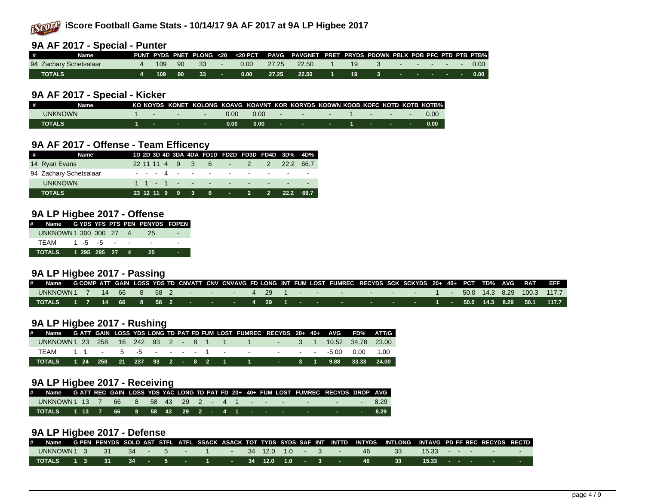

|          | 9A AF 2017 - Special - Punter |  |                    |      |                                                                                          |  |  |  |  |  |
|----------|-------------------------------|--|--------------------|------|------------------------------------------------------------------------------------------|--|--|--|--|--|
| <b>H</b> | Name                          |  |                    |      | PUNT PYDS PNET PLONG <20 <20 PCT PAVG PAVGNET PRET PRYDS PDOWN PBLK POB PFC PTD PTB PTB% |  |  |  |  |  |
|          | 94 Zachary Schetsalaar        |  |                    |      | 4 109 90 33 - 0.00 27.25 22.50 1 19 3 - - - - - 0.00                                     |  |  |  |  |  |
|          | <b>TOTALS</b>                 |  | $14$ 109 90 33 - 1 | 0.00 | . 27.25 22.50 1 19 3 - - - - - 0.00 l                                                    |  |  |  |  |  |

#### **9A AF 2017 - Special - Kicker**

| # | Name          |  | KO KOYDS KONET KOLONG KOAVG KOAVNT KOR KORYDS KODWN KOOB KOFC KOTD KOTB KOTB% |      |      |                                       |  |                            |  |
|---|---------------|--|-------------------------------------------------------------------------------|------|------|---------------------------------------|--|----------------------------|--|
|   | UNKNOWN       |  |                                                                               | 0.00 | 0.00 | and the control of the control of the |  | the company of the company |  |
|   | <b>TOTALS</b> |  |                                                                               | 0.00 | 0.00 |                                       |  |                            |  |

### **9A AF 2017 - Offense - Team Efficency**

| # Name                 |  |  |  |  | 1D 2D 3D 4D 3DA 4DA FD1D FD2D FD3D FD4D 3D% 4D% |  |
|------------------------|--|--|--|--|-------------------------------------------------|--|
| 14 Ryan Evans          |  |  |  |  | 22 11 11 4 9 3 6 - 2 2 22.2 66.7                |  |
| 94 Zachary Schetsalaar |  |  |  |  | --- 4 - - - - - - - - -                         |  |
| <b>UNKNOWN</b>         |  |  |  |  |                                                 |  |
| <b>TOTALS</b>          |  |  |  |  | 23 12 11 9 9 3 6 - 2 2 22.2 66.7                |  |

#### **9A LP Higbee 2017 - Offense**

| # Name GYDSYFSPTSPENPENYDSFDPEN |  |                 |  |      |  |
|---------------------------------|--|-----------------|--|------|--|
| UNKNOWN 1 300 300 27 4          |  |                 |  | - 25 |  |
| TFAM                            |  | $1\;\;5\;\;5$ - |  |      |  |
| TOTALS 1 295 295 27 4 25        |  |                 |  |      |  |

### **9A LP Higbee 2017 - Passing**

|                                                                                              |  |  |  |  |  |  |  | Name GCOMPATT GAIN LOSS YDS TD CNVATT CNV CNVAVG FD LONG INT FUM LOST FUMREC RECYDS SCK SCKYDS 20+ 40+ PCT TD% AVG RAT EFF |  |  |  |  |  |
|----------------------------------------------------------------------------------------------|--|--|--|--|--|--|--|----------------------------------------------------------------------------------------------------------------------------|--|--|--|--|--|
| UNKNOWN 1 7 14 66 8 58 2         4  29  1                    1   50.0  14.3 8.29 100.3 117.7 |  |  |  |  |  |  |  |                                                                                                                            |  |  |  |  |  |
|                                                                                              |  |  |  |  |  |  |  |                                                                                                                            |  |  |  |  |  |

#### **9A LP Higbee 2017 - Rushing**

|                                                                           |  |  |  |  |  | Name GATT GAIN LOSS YDS LONG TD PAT FD FUM LOST FUMREC RECYDS 20+ 40+ AVG FD% ATT/G |  |  |  |
|---------------------------------------------------------------------------|--|--|--|--|--|-------------------------------------------------------------------------------------|--|--|--|
| UNKNOWN 1 23 258 16 242 93 2 - 8 1 1 1 1 - 3 1 10.52 34.78 23.00          |  |  |  |  |  |                                                                                     |  |  |  |
|                                                                           |  |  |  |  |  |                                                                                     |  |  |  |
| TOTALS            1 24 258 21 237 93 2 - 8 2 1 1 1 - 3 1 9.88 33.33 24.00 |  |  |  |  |  |                                                                                     |  |  |  |

#### **9A LP Higbee 2017 - Receiving**

| # Name GATT REC GAIN LOSS YDS YAC LONG TD PAT FD 20+ 40+ FUM LOST FUMREC RECYDS DROP AVG |  |  |  |  |  |  |  |  |  |  |
|------------------------------------------------------------------------------------------|--|--|--|--|--|--|--|--|--|--|
| UNKNOWN 1 13 7 66 8 58 43 29 2 - 4 1 - - - - - - - - - - - - - - - - 8.29                |  |  |  |  |  |  |  |  |  |  |
| TOTALS 1 13 7 66 8 58 43 29 2 - 4 1 - - - - - - - - - - 8.29                             |  |  |  |  |  |  |  |  |  |  |

#### **9A LP Higbee 2017 - Defense**

| # |                                                                                                   |  |  |  |  |  |  |  |  | Name GPEN PENYDS SOLO AST STFL ATFL SSACK ASACK TOT TYDS SYDS SAF INT INTTD INTYDS INTLONG INTAVG PDFFREC RECYDS RECTD |  |  |  |
|---|---------------------------------------------------------------------------------------------------|--|--|--|--|--|--|--|--|------------------------------------------------------------------------------------------------------------------------|--|--|--|
|   | UNKNOWN 1 3  31  34  - 5     1     34 12.0 1.0   3     46   33  15.33   -       -                 |  |  |  |  |  |  |  |  |                                                                                                                        |  |  |  |
|   | TOTALS  1 3  31   34  -  5  -   1   -  34 12.0  1.0  -  3   -    46    33   15.33  - -    -   - - |  |  |  |  |  |  |  |  |                                                                                                                        |  |  |  |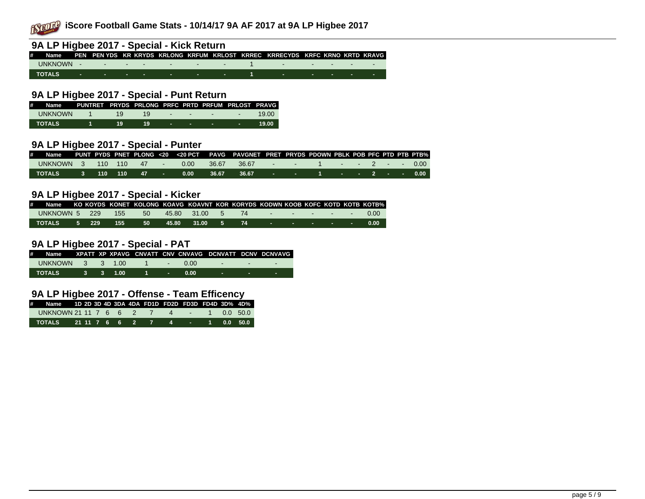

# **9A LP Higbee 2017 - Special - Kick Return**

| # Name PEN PEN YDS KR KRYDS KRLONG KRFUM KRLOST KRREC KRRECYDS KRFC KRNO KRTD KRAVG |  |  |  |  |  |  |  |
|-------------------------------------------------------------------------------------|--|--|--|--|--|--|--|
|                                                                                     |  |  |  |  |  |  |  |
|                                                                                     |  |  |  |  |  |  |  |

#### **9A LP Higbee 2017 - Special - Punt Return**

| $\#$           | Name PUNTRET PRYDS PRLONG PRFC PRTD PRFUM PRLOST PRAVG |    |     |  |                                                                                                                 |        |
|----------------|--------------------------------------------------------|----|-----|--|-----------------------------------------------------------------------------------------------------------------|--------|
| <b>UNKNOWN</b> | $1 \quad 19$                                           |    |     |  | $19 \cdot \cdot \cdot \cdot \cdot \cdot$                                                                        | 19.00  |
| TOTALS         |                                                        | 19 | -19 |  | the contract of the contract of the contract of the contract of the contract of the contract of the contract of | -19.00 |

#### **9A LP Higbee 2017 - Special - Punter**

| # Name PUNT PYDS PNET PLONG <20 <20 PCT PAVG PAVGNET PRET PRYDS PDOWN PBLK POB PFC PTD PTB PTB% |  |  |  |  |  |  |  |  |  |
|-------------------------------------------------------------------------------------------------|--|--|--|--|--|--|--|--|--|
| UNKNOWN 3 110 110 47 - 0.00 36.67 36.67 - 1 - - 2 - 0.00                                        |  |  |  |  |  |  |  |  |  |
|                                                                                                 |  |  |  |  |  |  |  |  |  |

#### **9A LP Higbee 2017 - Special - Kicker**

| # |               |  |                   | Name GKO KOYDS KONET KOLONG KOAVG KOAVNT KOR KORYDS KODWN KOOB KOFC KOTD KOTB KOTB% |  |                                    |  |  |  |
|---|---------------|--|-------------------|-------------------------------------------------------------------------------------|--|------------------------------------|--|--|--|
|   | UNKNOWN 5 229 |  | $\frac{1}{2}$ 155 |                                                                                     |  | 50 45.80 31.00 5 74 - - - - - 0.00 |  |  |  |
|   |               |  |                   |                                                                                     |  |                                    |  |  |  |

#### **9A LP Higbee 2017 - Special - PAT**

| # Name XPATT_XP_XPAVG_CNVATT_CNV_CNVAVG_DCNVATT_DCNV_DCNVAVG_I |  |  |  |                                                                                                                |   |
|----------------------------------------------------------------|--|--|--|----------------------------------------------------------------------------------------------------------------|---|
| UNKNOWN 3 3 1.00 1 - 0.00                                      |  |  |  | 1000 - Carolina Andrea Santa Andrea Andrea Andrea Andrea Andrea Andrea Andrea Andrea Andrea Andrea Andrea Andr |   |
| . TOTALS     3   3  1.00    1   -   0.00                       |  |  |  | <b>Service Contract</b>                                                                                        | ٠ |

#### **9A LP Higbee 2017 - Offense - Team Efficency**

| # Name 1D 2D 3D 4D 3DA 4DA FD1D FD2D FD3D FD4D 3D% 4D% |  |  |  |  |  |  |
|--------------------------------------------------------|--|--|--|--|--|--|
| UNKNOWN 21 11 7 6 6 2 7 4 - 1 0.0 50.0                 |  |  |  |  |  |  |
|                                                        |  |  |  |  |  |  |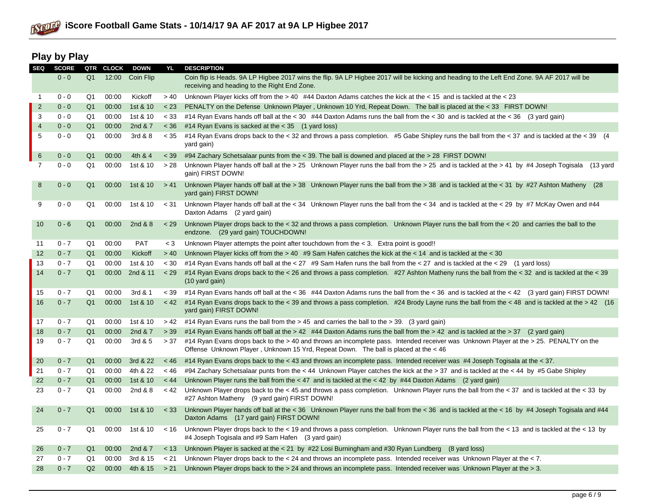

# **Play by Play**

| <b>SEQ</b>     | <b>SCORE</b> | QTR            | <b>CLOCK</b> | <b>DOWN</b> | YL      | <b>DESCRIPTION</b>                                                                                                                                                                                                           |
|----------------|--------------|----------------|--------------|-------------|---------|------------------------------------------------------------------------------------------------------------------------------------------------------------------------------------------------------------------------------|
|                | $0 - 0$      | Q <sub>1</sub> | 12:00        | Coin Flip   |         | Coin flip is Heads. 9A LP Higbee 2017 wins the flip. 9A LP Higbee 2017 will be kicking and heading to the Left End Zone. 9A AF 2017 will be<br>receiving and heading to the Right End Zone.                                  |
| 1              | $0 - 0$      | Q1             | 00:00        | Kickoff     | > 40    | Unknown Player kicks off from the $> 40$ #44 Daxton Adams catches the kick at the $< 15$ and is tackled at the $< 23$                                                                                                        |
| $\overline{2}$ | $0 - 0$      | Q <sub>1</sub> | 00:00        | 1st & 10    | < 23    | PENALTY on the Defense Unknown Player, Unknown 10 Yrd, Repeat Down. The ball is placed at the < 33 FIRST DOWN!                                                                                                               |
| 3              | $0 - 0$      | Q1             | 00:00        | 1st & 10    | < 33    | #14 Ryan Evans hands off ball at the < 30 #44 Daxton Adams runs the ball from the < 30 and is tackled at the < 36 (3 yard gain)                                                                                              |
| 4              | $0 - 0$      | Q <sub>1</sub> | 00:00        | 2nd & 7     | < 36    | #14 Ryan Evans is sacked at the $<$ 35 (1 yard loss)                                                                                                                                                                         |
| 5              | $0 - 0$      | Q1             | 00:00        | 3rd & 8     | < 35    | #14 Ryan Evans drops back to the < 32 and throws a pass completion. #5 Gabe Shipley runs the ball from the < 37 and is tackled at the < 39 (4)<br>yard gain)                                                                 |
| 6              | $0 - 0$      | Q1             | 00:00        | 4th & 4     | $<$ 39  | #94 Zachary Schetsalaar punts from the < 39. The ball is downed and placed at the > 28 FIRST DOWN!                                                                                                                           |
| $\overline{7}$ | $0 - 0$      | Q1             | 00:00        | 1st & 10    | > 28    | Unknown Player hands off ball at the > 25 Unknown Player runs the ball from the > 25 and is tackled at the > 41 by #4 Joseph Togisala (13 yard<br>gain) FIRST DOWN!                                                          |
| 8              | $0 - 0$      | Q <sub>1</sub> | 00:00        | 1st & 10    | > 41    | Unknown Player hands off ball at the > 38 Unknown Player runs the ball from the > 38 and is tackled at the < 31 by #27 Ashton Matheny (28<br>yard gain) FIRST DOWN!                                                          |
| 9              | $0 - 0$      | Q1             | 00:00        | 1st & 10    | $<$ 31  | Unknown Player hands off ball at the < 34 Unknown Player runs the ball from the < 34 and is tackled at the < 29 by #7 McKay Owen and #44<br>Daxton Adams (2 yard gain)                                                       |
| 10             | $0 - 6$      | Q <sub>1</sub> | 00:00        | 2nd & 8     | < 29    | Unknown Player drops back to the $<$ 32 and throws a pass completion. Unknown Player runs the ball from the $<$ 20 and carries the ball to the<br>endzone. (29 yard gain) TOUCHDOWN!                                         |
| 11             | $0 - 7$      | Q1             | 00:00        | <b>PAT</b>  | $<$ 3   | Unknown Player attempts the point after touchdown from the $<$ 3. Extra point is good!!                                                                                                                                      |
| 12             | $0 - 7$      | Q <sub>1</sub> | 00:00        | Kickoff     | > 40    | Unknown Player kicks off from the > 40 #9 Sam Hafen catches the kick at the < 14 and is tackled at the < 30                                                                                                                  |
| 13             | $0 - 7$      | Q1             | 00:00        | 1st & 10    | < 30    | #14 Ryan Evans hands off ball at the < 27 #9 Sam Hafen runs the ball from the < 27 and is tackled at the < 29 (1 yard loss)                                                                                                  |
| 14             | $0 - 7$      | Q <sub>1</sub> | 00:00        | 2nd & 11    | < 29    | #14 Ryan Evans drops back to the < 26 and throws a pass completion. #27 Ashton Matheny runs the ball from the < 32 and is tackled at the < 39<br>$(10 \text{ yard gain})$                                                    |
| 15             | $0 - 7$      | Q1             | 00:00        | 3rd & 1     | < 39    | #14 Ryan Evans hands off ball at the < 36 #44 Daxton Adams runs the ball from the < 36 and is tackled at the < 42 (3 yard gain) FIRST DOWN!                                                                                  |
| 16             | $0 - 7$      | Q <sub>1</sub> | 00:00        | 1st & 10    | < 42    | #14 Ryan Evans drops back to the < 39 and throws a pass completion. #24 Brody Layne runs the ball from the < 48 and is tackled at the > 42 (16)<br>yard gain) FIRST DOWN!                                                    |
| 17             | $0 - 7$      | Q1             | 00:00        | 1st & 10    | > 42    | #14 Ryan Evans runs the ball from the > 45 and carries the ball to the > 39. (3 yard gain)                                                                                                                                   |
| 18             | $0 - 7$      | Q <sub>1</sub> | 00:00        | 2nd & 7     | > 39    | #14 Ryan Evans hands off ball at the > 42 #44 Daxton Adams runs the ball from the > 42 and is tackled at the > 37 (2 yard gain)                                                                                              |
| 19             | $0 - 7$      | Q1             | 00:00        | 3rd & 5     | > 37    | #14 Ryan Evans drops back to the > 40 and throws an incomplete pass. Intended receiver was Unknown Player at the > 25. PENALTY on the<br>Offense Unknown Player, Unknown 15 Yrd, Repeat Down. The ball is placed at the < 46 |
| 20             | $0 - 7$      | Q1             | 00:00        | 3rd & 22    | $~<$ 46 | #14 Ryan Evans drops back to the < 43 and throws an incomplete pass. Intended receiver was #4 Joseph Togisala at the < 37.                                                                                                   |
| 21             | $0 - 7$      | Q1             | 00:00        | 4th & 22    | $~<$ 46 | #94 Zachary Schetsalaar punts from the < 44 Unknown Player catches the kick at the > 37 and is tackled at the < 44 by #5 Gabe Shipley                                                                                        |
| 22             | $0 - 7$      | Q <sub>1</sub> | 00:00        | 1st & 10    | < 44    | Unknown Player runs the ball from the < 47 and is tackled at the < 42 by #44 Daxton Adams (2 yard gain)                                                                                                                      |
| 23             | $0 - 7$      | Q <sub>1</sub> | 00:00        | 2nd & 8     | < 42    | Unknown Player drops back to the < 45 and throws a pass completion. Unknown Player runs the ball from the < 37 and is tackled at the < 33 by<br>#27 Ashton Matheny (9 yard gain) FIRST DOWN!                                 |
| 24             | $0 - 7$      | Q <sub>1</sub> | 00:00        | 1st & 10    | < 33    | Unknown Player hands off ball at the < 36 Unknown Player runs the ball from the < 36 and is tackled at the < 16 by #4 Joseph Togisala and #44<br>Daxton Adams (17 yard gain) FIRST DOWN!                                     |
| 25             | $0 - 7$      | Q1             | 00:00        | 1st & 10    | < 16    | Unknown Player drops back to the $<$ 19 and throws a pass completion. Unknown Player runs the ball from the $<$ 13 and is tackled at the $<$ 13 by<br>#4 Joseph Togisala and #9 Sam Hafen (3 yard gain)                      |
| 26             | $0 - 7$      | Q1             | 00:00        | 2nd & 7     | < 13    | Unknown Player is sacked at the $<$ 21 by #22 Losi Burningham and #30 Ryan Lundberg (8 yard loss)                                                                                                                            |
| 27             | $0 - 7$      | Q1             | 00:00        | 3rd & 15    | < 21    | Unknown Player drops back to the < 24 and throws an incomplete pass. Intended receiver was Unknown Player at the < 7.                                                                                                        |
| 28             | $0 - 7$      | Q2             | 00:00        | 4th & 15    | > 21    | Unknown Player drops back to the > 24 and throws an incomplete pass. Intended receiver was Unknown Player at the > 3.                                                                                                        |
|                |              |                |              |             |         |                                                                                                                                                                                                                              |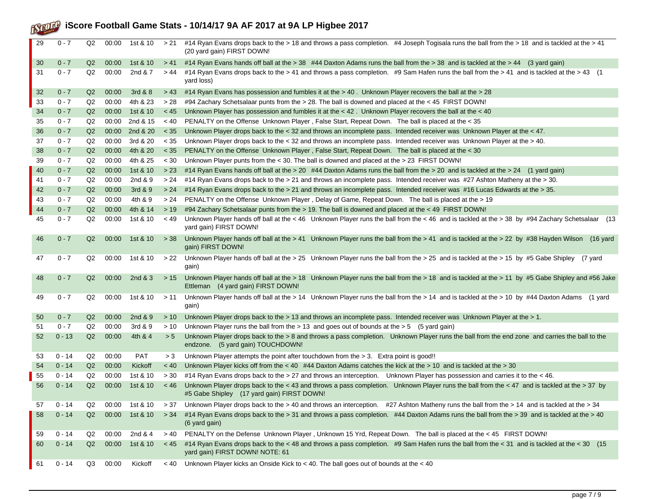# **iScore Football Game Stats - 10/14/17 9A AF 2017 at 9A LP Higbee 2017**

| 29 | $0 - 7$  | Q2             | 00:00 | 1st & 10   | > 21        | #14 Ryan Evans drops back to the > 18 and throws a pass completion. #4 Joseph Togisala runs the ball from the > 18 and is tackled at the > 41<br>(20 yard gain) FIRST DOWN!                |
|----|----------|----------------|-------|------------|-------------|--------------------------------------------------------------------------------------------------------------------------------------------------------------------------------------------|
| 30 | $0 - 7$  | Q2             | 00:00 | 1st & 10   | > 41        | #14 Ryan Evans hands off ball at the > 38 #44 Daxton Adams runs the ball from the > 38 and is tackled at the > 44 (3 yard gain)                                                            |
| 31 | $0 - 7$  | Q2             | 00:00 | 2nd & 7    | > 44        | #14 Ryan Evans drops back to the > 41 and throws a pass completion. #9 Sam Hafen runs the ball from the > 41 and is tackled at the > 43 (1<br>yard loss)                                   |
| 32 | $0 - 7$  | Q2             | 00:00 | 3rd & 8    | > 43        | #14 Ryan Evans has possession and fumbles it at the > 40. Unknown Player recovers the ball at the > 28                                                                                     |
| 33 | $0 - 7$  | Q2             | 00:00 | 4th & 23   | > 28        | #94 Zachary Schetsalaar punts from the > 28. The ball is downed and placed at the < 45 FIRST DOWN!                                                                                         |
| 34 | $0 - 7$  | Q <sub>2</sub> | 00:00 | 1st & 10   | < 45        | Unknown Player has possession and fumbles it at the < 42. Unknown Player recovers the ball at the < 40                                                                                     |
| 35 | $0 - 7$  | Q2             | 00:00 | 2nd & 15   | ~< 40       | PENALTY on the Offense Unknown Player, False Start, Repeat Down. The ball is placed at the < 35                                                                                            |
| 36 | $0 - 7$  | Q <sub>2</sub> | 00:00 | 2nd & 20   | $<$ 35      | Unknown Player drops back to the < 32 and throws an incomplete pass. Intended receiver was Unknown Player at the < 47.                                                                     |
| 37 | $0 - 7$  | Q2             | 00:00 | 3rd & 20   | < 35        | Unknown Player drops back to the < 32 and throws an incomplete pass. Intended receiver was Unknown Player at the > 40.                                                                     |
| 38 | $0 - 7$  | Q <sub>2</sub> | 00:00 | 4th & 20   | $<$ 35      | PENALTY on the Offense Unknown Player, False Start, Repeat Down. The ball is placed at the < 30                                                                                            |
| 39 | $0 - 7$  | Q2             | 00:00 | 4th & 25   | $~<$ 30     | Unknown Player punts from the < 30. The ball is downed and placed at the > 23 FIRST DOWN!                                                                                                  |
| 40 | $0 - 7$  | Q <sub>2</sub> | 00:00 | 1st & 10   | > 23        | #14 Ryan Evans hands off ball at the > 20 #44 Daxton Adams runs the ball from the > 20 and is tackled at the > 24 (1 yard gain)                                                            |
| 41 | $0 - 7$  | Q2             | 00:00 | 2nd & 9    | > 24        | #14 Ryan Evans drops back to the > 21 and throws an incomplete pass. Intended receiver was #27 Ashton Matheny at the > 30.                                                                 |
| 42 | $0 - 7$  | Q2             | 00:00 | 3rd & 9    | > 24        | #14 Ryan Evans drops back to the > 21 and throws an incomplete pass. Intended receiver was #16 Lucas Edwards at the > 35.                                                                  |
| 43 | $0 - 7$  | Q2             | 00:00 | 4th & 9    | > 24        | PENALTY on the Offense Unknown Player, Delay of Game, Repeat Down. The ball is placed at the > 19                                                                                          |
| 44 | $0 - 7$  | Q <sub>2</sub> | 00:00 | 4th & 14   | > 19        | #94 Zachary Schetsalaar punts from the > 19. The ball is downed and placed at the < 49 FIRST DOWN!                                                                                         |
| 45 | $0 - 7$  | Q2             | 00:00 | 1st & 10   | ~< 49       | Unknown Player hands off ball at the < 46 Unknown Player runs the ball from the < 46 and is tackled at the > 38 by #94 Zachary Schetsalaar (13<br>yard gain) FIRST DOWN!                   |
| 46 | $0 - 7$  | Q <sub>2</sub> | 00:00 | 1st & 10   | > 38        | Unknown Player hands off ball at the > 41 Unknown Player runs the ball from the > 41 and is tackled at the > 22 by #38 Hayden Wilson (16 yard<br>gain) FIRST DOWN!                         |
| 47 | $0 - 7$  | Q2             | 00:00 | 1st & 10   | >22         | Unknown Player hands off ball at the > 25 Unknown Player runs the ball from the > 25 and is tackled at the > 15 by #5 Gabe Shipley (7 yard<br>gain)                                        |
| 48 | $0 - 7$  | Q <sub>2</sub> | 00:00 | 2nd $&3$   | >15         | Unknown Player hands off ball at the > 18 Unknown Player runs the ball from the > 18 and is tackled at the > 11 by #5 Gabe Shipley and #56 Jake<br>Ettleman (4 yard gain) FIRST DOWN!      |
| 49 | $0 - 7$  | Q2             | 00:00 | 1st & 10   | >11         | Unknown Player hands off ball at the > 14 Unknown Player runs the ball from the > 14 and is tackled at the > 10 by #44 Daxton Adams (1 yard<br>gain)                                       |
| 50 | $0 - 7$  | Q2             | 00:00 | 2nd $&9$   | > 10        | Unknown Player drops back to the > 13 and throws an incomplete pass. Intended receiver was Unknown Player at the > 1.                                                                      |
| 51 | $0 - 7$  | Q2             | 00:00 | 3rd & 9    | >10         | Unknown Player runs the ball from the $> 13$ and goes out of bounds at the $> 5$ (5 yard gain)                                                                                             |
| 52 | $0 - 13$ | Q2             | 00:00 | 4th & 4    | > 5         | Unknown Player drops back to the > 8 and throws a pass completion. Unknown Player runs the ball from the end zone and carries the ball to the<br>endzone. (5 yard gain) TOUCHDOWN!         |
| 53 | $0 - 14$ | Q2             | 00:00 | <b>PAT</b> | > 3         | Unknown Player attempts the point after touchdown from the > 3. Extra point is good!!                                                                                                      |
| 54 | $0 - 14$ | Q2             | 00:00 | Kickoff    | ~< 40       | Unknown Player kicks off from the < 40 #44 Daxton Adams catches the kick at the > 10 and is tackled at the > 30                                                                            |
| 55 | $0 - 14$ | Q2             | 00:00 | 1st & 10   | > 30        | #14 Ryan Evans drops back to the > 27 and throws an interception. Unknown Player has possession and carries it to the < 46.                                                                |
| 56 | $0 - 14$ | Q2             | 00:00 | 1st & 10   | $~<$ 46     | Unknown Player drops back to the < 43 and throws a pass completion. Unknown Player runs the ball from the < 47 and is tackled at the > 37 by<br>#5 Gabe Shipley (17 yard gain) FIRST DOWN! |
| 57 | 0 - 14   | Q2             | 00:00 | 1st & 10   |             | Unknown Player drops back to the > 40 and throws an interception. #27 Ashton Matheny runs the ball from the > 14 and is tackled at the > 34                                                |
| 58 | $0 - 14$ | Q2             | 00:00 | 1st & 10   | > 34        | #14 Ryan Evans drops back to the > 31 and throws a pass completion. #44 Daxton Adams runs the ball from the > 39 and is tackled at the > 40<br>(6 yard gain)                               |
| 59 | $0 - 14$ | Q2             | 00:00 | 2nd & 4    | > 40        | PENALTY on the Defense Unknown Player, Unknown 15 Yrd, Repeat Down. The ball is placed at the < 45 FIRST DOWN!                                                                             |
| 60 | $0 - 14$ | Q2             | 00:00 | 1st & 10   | < 45        | #14 Ryan Evans drops back to the < 48 and throws a pass completion. #9 Sam Hafen runs the ball from the < 31 and is tackled at the < 30 (15<br>yard gain) FIRST DOWN! NOTE: 61             |
| 61 | $0 - 14$ | Q3             | 00:00 | Kickoff    | $~<$ 40 $~$ | Unknown Player kicks an Onside Kick to < 40. The ball goes out of bounds at the < 40                                                                                                       |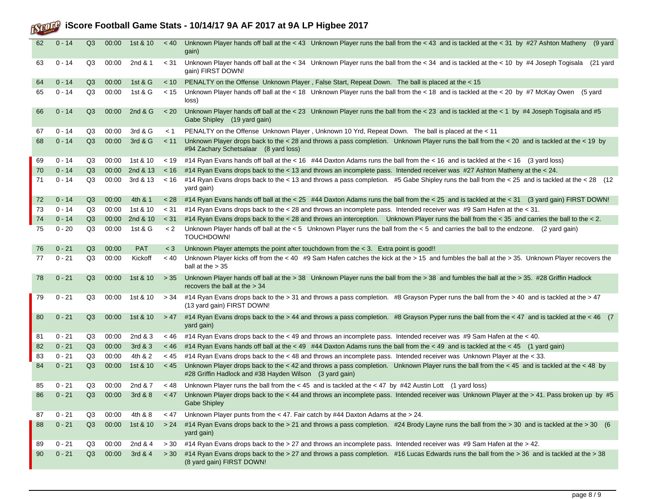# **iScore Football Game Stats - 10/14/17 9A AF 2017 at 9A LP Higbee 2017**

| 62 | $0 - 14$ | Q3 | 00:00 | 1st & 10   | $~<$ 40 | Unknown Player hands off ball at the < 43 Unknown Player runs the ball from the < 43 and is tackled at the < 31 by #27 Ashton Matheny (9 yard<br>gain)                                                  |
|----|----------|----|-------|------------|---------|---------------------------------------------------------------------------------------------------------------------------------------------------------------------------------------------------------|
| 63 | $0 - 14$ | Q3 | 00:00 | 2nd & 1    | < 31    | Unknown Player hands off ball at the < 34 Unknown Player runs the ball from the < 34 and is tackled at the < 10 by #4 Joseph Togisala (21 yard<br>gain) FIRST DOWN!                                     |
| 64 | $0 - 14$ | Q3 | 00:00 | 1st $&G$   | $~<$ 10 | PENALTY on the Offense Unknown Player, False Start, Repeat Down. The ball is placed at the < 15                                                                                                         |
| 65 | $0 - 14$ | Q3 | 00:00 | 1st & G    | < 15    | Unknown Player hands off ball at the < 18 Unknown Player runs the ball from the < 18 and is tackled at the < 20 by #7 McKay Owen<br>(5 yard<br>loss)                                                    |
| 66 | $0 - 14$ | Q3 | 00:00 | 2nd $&G$   | < 20    | Unknown Player hands off ball at the < 23 Unknown Player runs the ball from the < 23 and is tackled at the < 1 by #4 Joseph Togisala and #5<br>Gabe Shipley (19 yard gain)                              |
| 67 | $0 - 14$ | Q3 | 00:00 | 3rd & G    | < 1     | PENALTY on the Offense Unknown Player, Unknown 10 Yrd, Repeat Down. The ball is placed at the < 11                                                                                                      |
| 68 | $0 - 14$ | Q3 | 00:00 | 3rd & G    | < 11    | Unknown Player drops back to the < 28 and throws a pass completion. Unknown Player runs the ball from the < 20 and is tackled at the < 19 by<br>#94 Zachary Schetsalaar (8 yard loss)                   |
| 69 | $0 - 14$ | Q3 | 00:00 | 1st & 10   | < 19    | #14 Ryan Evans hands off ball at the < 16 #44 Daxton Adams runs the ball from the < 16 and is tackled at the < 16 (3 yard loss)                                                                         |
| 70 | $0 - 14$ | Q3 | 00:00 | 2nd & 13   | $~<$ 16 | #14 Ryan Evans drops back to the < 13 and throws an incomplete pass. Intended receiver was #27 Ashton Matheny at the < 24.                                                                              |
| 71 | $0 - 14$ | Q3 | 00:00 | 3rd & 13   | < 16    | #14 Ryan Evans drops back to the < 13 and throws a pass completion. #5 Gabe Shipley runs the ball from the < 25 and is tackled at the < 28 (12)<br>yard gain)                                           |
| 72 | $0 - 14$ | Q3 | 00:00 | 4th & 1    | < 28    | #14 Ryan Evans hands off ball at the < 25 #44 Daxton Adams runs the ball from the < 25 and is tackled at the < 31 (3 yard gain) FIRST DOWN!                                                             |
| 73 | $0 - 14$ | Q3 | 00:00 | 1st & 10   | < 31    | #14 Ryan Evans drops back to the < 28 and throws an incomplete pass. Intended receiver was #9 Sam Hafen at the < 31.                                                                                    |
| 74 | $0 - 14$ | Q3 | 00:00 | 2nd & 10   | < 31    | #14 Ryan Evans drops back to the < 28 and throws an interception. Unknown Player runs the ball from the < 35 and carries the ball to the < 2.                                                           |
| 75 | $0 - 20$ | Q3 | 00:00 | 1st & G    | < 2     | Unknown Player hands off ball at the < 5 Unknown Player runs the ball from the < 5 and carries the ball to the endzone. (2 yard gain)<br>TOUCHDOWN!                                                     |
| 76 | $0 - 21$ | Q3 | 00:00 | <b>PAT</b> | $<$ 3   | Unknown Player attempts the point after touchdown from the $<$ 3. Extra point is good!!                                                                                                                 |
| 77 | $0 - 21$ | Q3 | 00:00 | Kickoff    | ~< 40   | Unknown Player kicks off from the < 40 #9 Sam Hafen catches the kick at the > 15 and fumbles the ball at the > 35. Unknown Player recovers the<br>ball at the $> 35$                                    |
| 78 | $0 - 21$ | Q3 | 00:00 | 1st & 10   | > 35    | Unknown Player hands off ball at the > 38 Unknown Player runs the ball from the > 38 and fumbles the ball at the > 35. #28 Griffin Hadlock<br>recovers the ball at the > 34                             |
| 79 | $0 - 21$ | Q3 | 00:00 | 1st & 10   | > 34    | #14 Ryan Evans drops back to the > 31 and throws a pass completion. #8 Grayson Pyper runs the ball from the > 40 and is tackled at the > 47<br>(13 yard gain) FIRST DOWN!                               |
| 80 | $0 - 21$ | Q3 | 00:00 | 1st & 10   | > 47    | #14 Ryan Evans drops back to the > 44 and throws a pass completion. #8 Grayson Pyper runs the ball from the < 47 and is tackled at the < 46 (7)<br>yard gain)                                           |
| 81 | $0 - 21$ | Q3 | 00:00 | 2nd $&3$   | < 46    | #14 Ryan Evans drops back to the < 49 and throws an incomplete pass. Intended receiver was #9 Sam Hafen at the < 40.                                                                                    |
| 82 | $0 - 21$ | Q3 | 00:00 | 3rd & 3    | $~<$ 46 | #14 Ryan Evans hands off ball at the < 49 #44 Daxton Adams runs the ball from the < 49 and is tackled at the < 45 (1 yard gain)                                                                         |
| 83 | $0 - 21$ | Q3 | 00:00 | 4th & 2    | < 45    | #14 Ryan Evans drops back to the < 48 and throws an incomplete pass. Intended receiver was Unknown Player at the < 33.                                                                                  |
| 84 | $0 - 21$ | Q3 | 00:00 | 1st & 10   | < 45    | Unknown Player drops back to the < 42 and throws a pass completion. Unknown Player runs the ball from the < 45 and is tackled at the < 48 by<br>#28 Griffin Hadlock and #38 Hayden Wilson (3 yard gain) |
| 85 | $0 - 21$ | Q3 | 00:00 | 2nd & 7    | $~<$ 48 | Unknown Player runs the ball from the $<$ 45 and is tackled at the $<$ 47 by #42 Austin Lott (1 yard loss)                                                                                              |
| 86 | $0 - 21$ | Q3 | 00:00 | 3rd & 8    | < 47    | Unknown Player drops back to the < 44 and throws an incomplete pass. Intended receiver was Unknown Player at the > 41. Pass broken up by #5<br>Gabe Shipley                                             |
| 87 | $0 - 21$ | Q3 | 00:00 | 4th & 8    | < 47    | Unknown Player punts from the < 47. Fair catch by #44 Daxton Adams at the > 24.                                                                                                                         |
| 88 | $0 - 21$ | Q3 | 00:00 | 1st & 10   | > 24    | #14 Ryan Evans drops back to the > 21 and throws a pass completion. #24 Brody Layne runs the ball from the > 30 and is tackled at the > 30 (6<br>yard gain)                                             |
| 89 | $0 - 21$ | Q3 | 00:00 | 2nd & 4    | > 30    | #14 Ryan Evans drops back to the > 27 and throws an incomplete pass. Intended receiver was #9 Sam Hafen at the > 42.                                                                                    |
| 90 | $0 - 21$ | Q3 | 00:00 | 3rd & 4    | > 30    | #14 Ryan Evans drops back to the > 27 and throws a pass completion. #16 Lucas Edwards runs the ball from the > 36 and is tackled at the > 38<br>(8 yard gain) FIRST DOWN!                               |